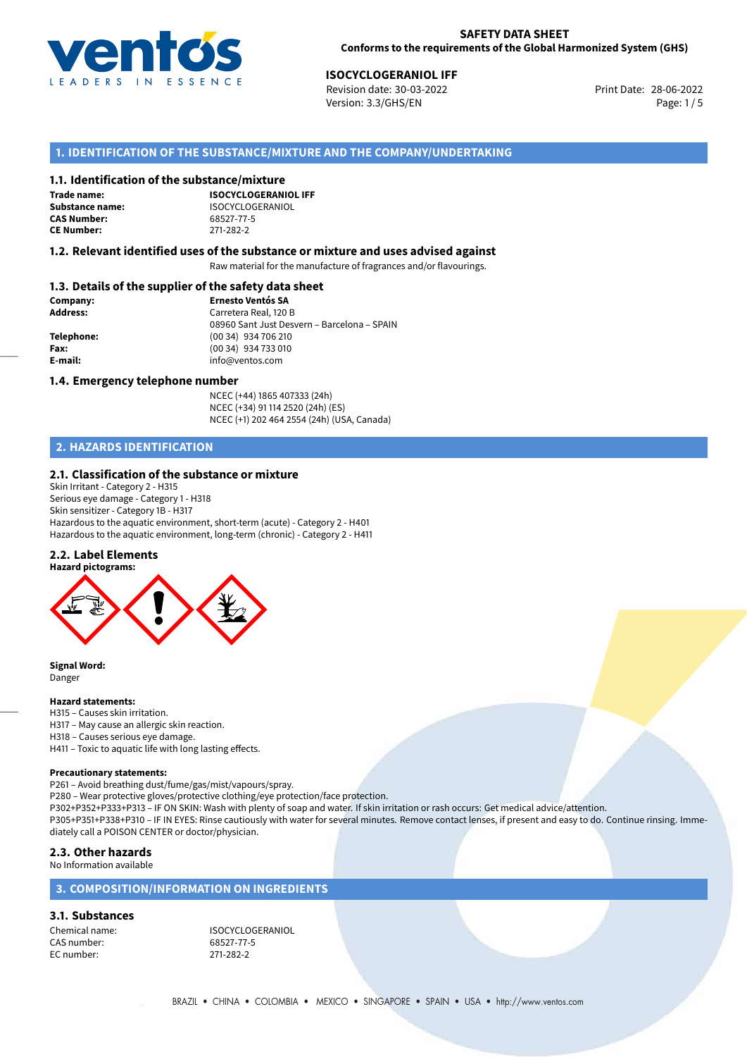

**ISOCYCLOGERANIOL IFF**<br> **Print Date:** 28-06-2022 Print Date: 28-06-2022 Version: 3.3/GHS/EN Page: 1/5

## **1. IDENTIFICATION OF THE SUBSTANCE/MIXTURE AND THE COMPANY/UNDERTAKING**

### **1.1. Identification of the substance/mixture**

**Trade name: CAS Number: CE Number:** 271-282-2

**ISOCYCLOGERANIOL IFF Substance name:** ISOCYCLOGERANIOL<br> **CAS Number:** 68527-77-5

### **1.2. Relevant identified uses of the substance or mixture and uses advised against**

Raw material for the manufacture of fragrances and/or flavourings.

## **1.3. Details of the supplier of the safety data sheet**

| Company:        | <b>Ernesto Ventós SA</b>                    |
|-----------------|---------------------------------------------|
| <b>Address:</b> | Carretera Real, 120 B                       |
|                 | 08960 Sant Just Desvern - Barcelona - SPAIN |
| Telephone:      | (00 34) 934 706 210                         |
| Fax:            | (00 34) 934 733 010                         |
| E-mail:         | info@ventos.com                             |
|                 |                                             |

### **1.4. Emergency telephone number**

NCEC (+44) 1865 407333 (24h) NCEC (+34) 91 114 2520 (24h) (ES) NCEC (+1) 202 464 2554 (24h) (USA, Canada)

## **2. HAZARDS IDENTIFICATION**

### **2.1. Classification of the substance or mixture**

Skin Irritant - Category 2 - H315 Serious eye damage - Category 1 - H318 Skin sensitizer - Category 1B - H317 Hazardous to the aquatic environment, short-term (acute) - Category 2 - H401 Hazardous to the aquatic environment, long-term (chronic) - Category 2 - H411

#### **2.2. Label Elements**



**Signal Word:** Danger

#### **Hazard statements:**

- H315 Causes skin irritation.
- H317 May cause an allergic skin reaction.
- H318 Causes serious eye damage.
- H411 Toxic to aquatic life with long lasting effects.

#### **Precautionary statements:**

P261 – Avoid breathing dust/fume/gas/mist/vapours/spray.

P280 – Wear protective gloves/protective clothing/eye protection/face protection.

P302+P352+P333+P313 – IF ON SKIN: Wash with plenty of soap and water. If skin irritation or rash occurs: Get medical advice/attention.

P305+P351+P338+P310 – IF IN EYES: Rinse cautiously with water for several minutes. Remove contact lenses, if present and easy to do. Continue rinsing. Immediately call a POISON CENTER or doctor/physician.

#### **2.3. Other hazards**

No Information available

## **3. COMPOSITION/INFORMATION ON INGREDIENTS**

## **3.1. Substances**

CAS number: 68527-77-5 EC number:

Chemical name: ISOCYCLOGERANIOL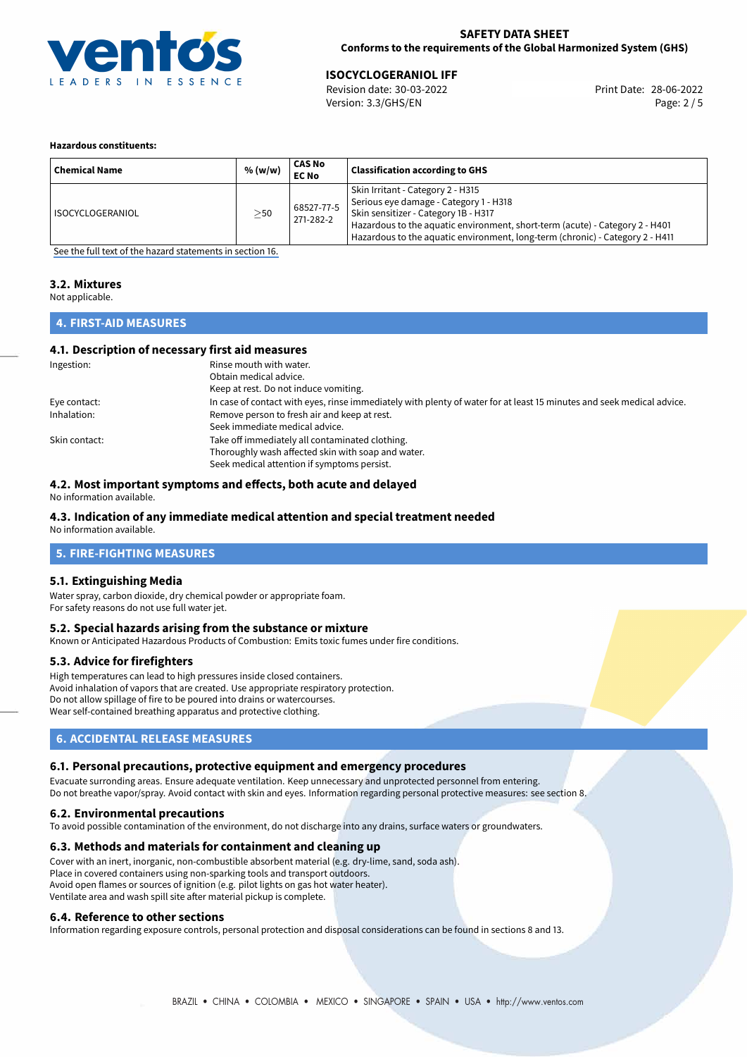

**ISOCYCLOGERANIOL IFF**<br> **Revision date: 30-03-2022** Print Date: 28-06-2022 Version: 3.3/GHS/EN Page: 2 / 5

#### **Hazardous constituents:**

| <b>Chemical Name</b>    | % (w/w)   | CAS No<br><b>EC No</b>  | <b>Classification according to GHS</b>                                                                                                                                                                                                                                               |
|-------------------------|-----------|-------------------------|--------------------------------------------------------------------------------------------------------------------------------------------------------------------------------------------------------------------------------------------------------------------------------------|
| <b>ISOCYCLOGERANIOL</b> | $\geq$ 50 | 68527-77-5<br>271-282-2 | Skin Irritant - Category 2 - H315<br>Serious eye damage - Category 1 - H318<br>Skin sensitizer - Category 1B - H317<br>Hazardous to the aquatic environment, short-term (acute) - Category 2 - H401<br>Hazardous to the aquatic environment, long-term (chronic) - Category 2 - H411 |

[See the full text of the hazard statements in section 16.](#page-4-0)

### **3.2. Mixtures**

Not applicable.

## **4. FIRST-AID MEASURES**

## **4.1. Description of necessary first aid measures**

| Ingestion:    | Rinse mouth with water.                                                                                               |
|---------------|-----------------------------------------------------------------------------------------------------------------------|
|               | Obtain medical advice.                                                                                                |
|               | Keep at rest. Do not induce vomiting.                                                                                 |
| Eye contact:  | In case of contact with eyes, rinse immediately with plenty of water for at least 15 minutes and seek medical advice. |
| Inhalation:   | Remove person to fresh air and keep at rest.                                                                          |
|               | Seek immediate medical advice.                                                                                        |
| Skin contact: | Take off immediately all contaminated clothing.                                                                       |
|               | Thoroughly wash affected skin with soap and water.                                                                    |
|               | Seek medical attention if symptoms persist.                                                                           |

## **4.2. Most important symptoms and effects, both acute and delayed**

No information available.

## **4.3. Indication of any immediate medical attention and special treatment needed**

No information available.

## **5. FIRE-FIGHTING MEASURES**

## **5.1. Extinguishing Media**

Water spray, carbon dioxide, dry chemical powder or appropriate foam. For safety reasons do not use full water jet.

## **5.2. Special hazards arising from the substance or mixture**

Known or Anticipated Hazardous Products of Combustion: Emits toxic fumes under fire conditions.

## **5.3. Advice for firefighters**

High temperatures can lead to high pressures inside closed containers. Avoid inhalation of vapors that are created. Use appropriate respiratory protection. Do not allow spillage of fire to be poured into drains or watercourses. Wear self-contained breathing apparatus and protective clothing.

## **6. ACCIDENTAL RELEASE MEASURES**

## **6.1. Personal precautions, protective equipment and emergency procedures**

Evacuate surronding areas. Ensure adequate ventilation. Keep unnecessary and unprotected personnel from entering. Do not breathe vapor/spray. Avoid contact with skin and eyes. Information regarding personal protective measures: see section 8.

#### **6.2. Environmental precautions**

To avoid possible contamination of the environment, do not discharge into any drains, surface waters or groundwaters.

## **6.3. Methods and materials for containment and cleaning up**

Cover with an inert, inorganic, non-combustible absorbent material (e.g. dry-lime, sand, soda ash). Place in covered containers using non-sparking tools and transport outdoors. Avoid open flames or sources of ignition (e.g. pilot lights on gas hot water heater). Ventilate area and wash spill site after material pickup is complete.

## **6.4. Reference to other sections**

Information regarding exposure controls, personal protection and disposal considerations can be found in sections 8 and 13.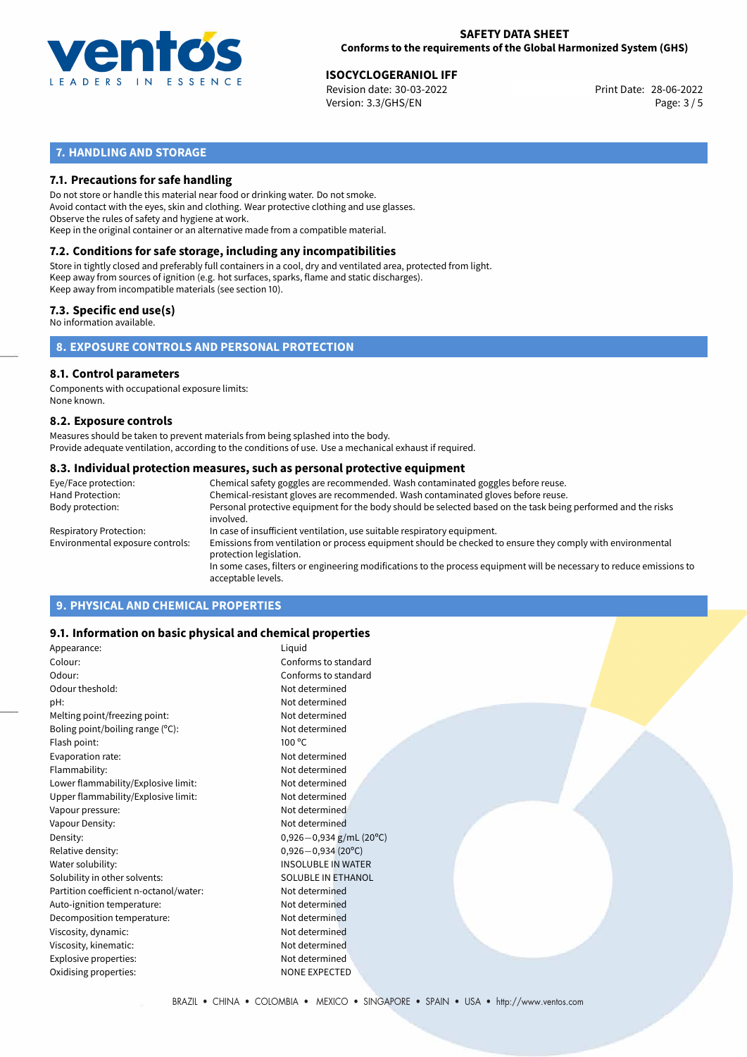

**ISOCYCLOGERANIOL IFF**<br> **Revision date: 30-03-2022** Print Date: 28-06-2022 Version: 3.3/GHS/EN Page: 3 / 5

## **7. HANDLING AND STORAGE**

## **7.1. Precautions for safe handling**

Do not store or handle this material near food or drinking water. Do not smoke. Avoid contact with the eyes, skin and clothing. Wear protective clothing and use glasses. Observe the rules of safety and hygiene at work. Keep in the original container or an alternative made from a compatible material.

## **7.2. Conditions for safe storage, including any incompatibilities**

Store in tightly closed and preferably full containers in a cool, dry and ventilated area, protected from light. Keep away from sources of ignition (e.g. hot surfaces, sparks, flame and static discharges). Keep away from incompatible materials (see section 10).

## **7.3. Specific end use(s)**

No information available.

**8. EXPOSURE CONTROLS AND PERSONAL PROTECTION**

## **8.1. Control parameters**

Components with occupational exposure limits: None known.

#### **8.2. Exposure controls**

Measures should be taken to prevent materials from being splashed into the body. Provide adequate ventilation, according to the conditions of use. Use a mechanical exhaust if required.

### **8.3. Individual protection measures, such as personal protective equipment**

| Eye/Face protection:             | Chemical safety goggles are recommended. Wash contaminated goggles before reuse.                                                            |  |  |  |
|----------------------------------|---------------------------------------------------------------------------------------------------------------------------------------------|--|--|--|
| Hand Protection:                 | Chemical-resistant gloves are recommended. Wash contaminated gloves before reuse.                                                           |  |  |  |
| Body protection:                 | Personal protective equipment for the body should be selected based on the task being performed and the risks<br>involved.                  |  |  |  |
| Respiratory Protection:          | In case of insufficient ventilation, use suitable respiratory equipment.                                                                    |  |  |  |
| Environmental exposure controls: | Emissions from ventilation or process equipment should be checked to ensure they comply with environmental<br>protection legislation.       |  |  |  |
|                                  | In some cases, filters or engineering modifications to the process equipment will be necessary to reduce emissions to<br>acceptable levels. |  |  |  |
|                                  |                                                                                                                                             |  |  |  |

## **9. PHYSICAL AND CHEMICAL PROPERTIES**

## **9.1. Information on basic physical and chemical properties**

| Appearance:                            | Liguid                      |  |
|----------------------------------------|-----------------------------|--|
| Colour:                                | Conforms to standard        |  |
| Odour:                                 | Conforms to standard        |  |
| Odour theshold:                        | Not determined              |  |
| pH:                                    | Not determined              |  |
| Melting point/freezing point:          | Not determined              |  |
| Boling point/boiling range $(°C)$ :    | Not determined              |  |
| Flash point:                           | $100^{\circ}$ C             |  |
| Evaporation rate:                      | Not determined              |  |
| Flammability:                          | Not determined              |  |
| Lower flammability/Explosive limit:    | Not determined              |  |
| Upper flammability/Explosive limit:    | Not determined              |  |
| Vapour pressure:                       | Not determined              |  |
| Vapour Density:                        | Not determined              |  |
| Density:                               | $0,926 - 0,934$ g/mL (20°C) |  |
| Relative density:                      | $0,926 - 0,934$ (20°C)      |  |
| Water solubility:                      | <b>INSOLUBLE IN WATER</b>   |  |
| Solubility in other solvents:          | <b>SOLUBLE IN ETHANOL</b>   |  |
| Partition coefficient n-octanol/water: | Not determined              |  |
| Auto-ignition temperature:             | Not determined              |  |
| Decomposition temperature:             | Not determined              |  |
| Viscosity, dynamic:                    | Not determined              |  |
| Viscosity, kinematic:                  | Not determined              |  |
| Explosive properties:                  | Not determined              |  |
| Oxidising properties:                  | <b>NONE EXPECTED</b>        |  |
|                                        |                             |  |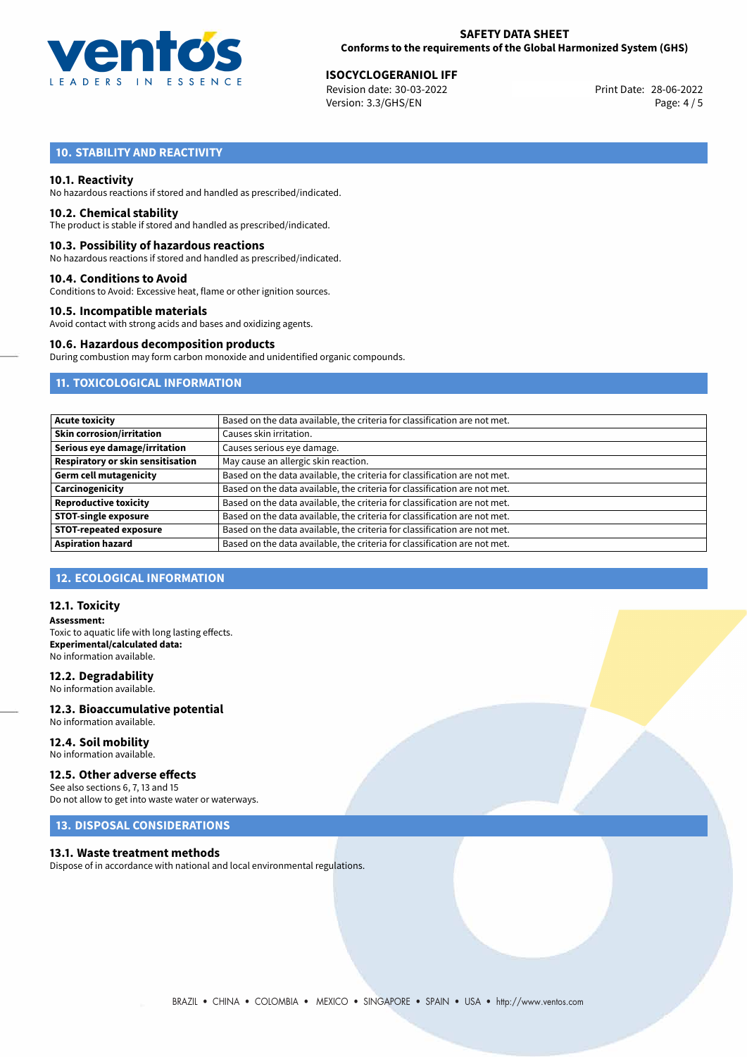

# **ISOCYCLOGERANIOL IFF**<br> **28-06-2022 ISO-03-2022 ISO-03-2022 ISO-2022 Print Date: 28-06-2022**

Revision date: 30-03-2022 Version: 3.3/GHS/EN Page: 4 / 5

## **10. STABILITY AND REACTIVITY**

## **10.1. Reactivity**

No hazardous reactions if stored and handled as prescribed/indicated.

#### **10.2. Chemical stability**

The product is stable if stored and handled as prescribed/indicated.

### **10.3. Possibility of hazardous reactions**

No hazardous reactions if stored and handled as prescribed/indicated.

#### **10.4. Conditions to Avoid**

Conditions to Avoid: Excessive heat, flame or other ignition sources.

## **10.5. Incompatible materials**

Avoid contact with strong acids and bases and oxidizing agents.

## **10.6. Hazardous decomposition products**

During combustion may form carbon monoxide and unidentified organic compounds.

## **11. TOXICOLOGICAL INFORMATION**

| Based on the data available, the criteria for classification are not met. |
|---------------------------------------------------------------------------|
| Causes skin irritation.                                                   |
| Causes serious eye damage.                                                |
| May cause an allergic skin reaction.                                      |
| Based on the data available, the criteria for classification are not met. |
| Based on the data available, the criteria for classification are not met. |
| Based on the data available, the criteria for classification are not met. |
| Based on the data available, the criteria for classification are not met. |
| Based on the data available, the criteria for classification are not met. |
| Based on the data available, the criteria for classification are not met. |
|                                                                           |

## **12. ECOLOGICAL INFORMATION**

## **12.1. Toxicity**

**Assessment:** Toxic to aquatic life with long lasting effects. **Experimental/calculated data:** No information available.

## **12.2. Degradability**

No information available.

### **12.3. Bioaccumulative potential** No information available.

**12.4. Soil mobility** No information available.

## **12.5. Other adverse effects**

See also sections 6, 7, 13 and 15 Do not allow to get into waste water or waterways.

## **13. DISPOSAL CONSIDERATIONS**

#### **13.1. Waste treatment methods**

Dispose of in accordance with national and local environmental regulations.